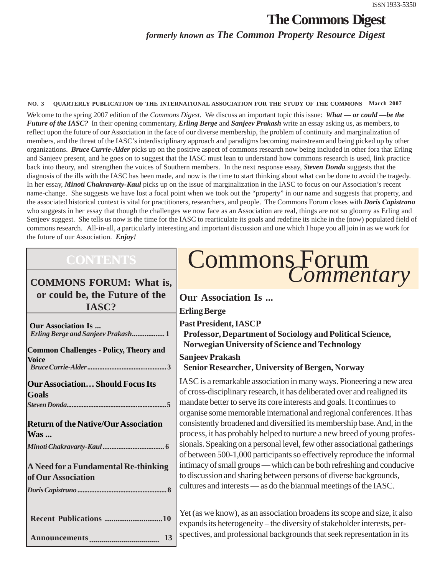### **The Commons Digest** *formerly known as The Common Property Resource Digest*

#### **NO. 3 QUARTERLY PUBLICATION OF THE INTERNATIONAL ASSOCIATION FOR THE STUDY OF THE COMMONS March 2007**

Welcome to the spring 2007 edition of the *Commons Digest.* We discuss an important topic this issue: *What — or could —be the Future of the IASC?* In their opening commentary, *Erling Berge* and *Sanjeev Prakash* write an essay asking us, as members, to reflect upon the future of our Association in the face of our diverse membership, the problem of continuity and marginalization of members, and the threat of the IASC's interdisciplinary approach and paradigms becoming mainstream and being picked up by other organizations. *Bruce Currie-Alder* picks up on the positive aspect of commons research now being included in other fora that Erling and Sanjeev present, and he goes on to suggest that the IASC must lean to understand how commons research is used, link practice back into theory, and strengthen the voices of Southern members. In the next response essay, *Steven Donda* suggests that the diagnosis of the ills with the IASC has been made, and now is the time to start thinking about what can be done to avoid the tragedy. In her essay, *Minoti Chakravarty-Kaul* picks up on the issue of marginalization in the IASC to focus on our Association's recent name-change. She suggests we have lost a focal point when we took out the "property" in our name and suggests that property, and the associated historical context is vital for practitioners, researchers, and people. The Commons Forum closes with *Doris Capistrano* who suggests in her essay that though the challenges we now face as an Association are real, things are not so gloomy as Erling and Senjeev suggest. She tells us now is the time for the IASC to rearticulate its goals and redefine its niche in the (now) populated field of commons research. All-in-all, a particularly interesting and important discussion and one which I hope you all join in as we work for the future of our Association. *Enjoy!*

#### **COMMONS FORUM: What is, or could be, the Future of the IASC?**

| Our Association Is<br>Erling Berge and Sanjeev Prakash1    |
|------------------------------------------------------------|
| <b>Common Challenges - Policy, Theory and</b>              |
| Voice                                                      |
| <b>Our Association Should Focus Its</b>                    |
| <b>Goals</b>                                               |
|                                                            |
| <b>Return of the Native/Our Association</b>                |
| <b>Was </b>                                                |
|                                                            |
| A Need for a Fundamental Re-thinking<br>of Our Association |
|                                                            |
|                                                            |
| Recent Publications 10                                     |
| 13                                                         |

# Commons Forum<br>*Commentary*

| <b>Our Association Is</b>                                                 |
|---------------------------------------------------------------------------|
| <b>Erling Berge</b>                                                       |
| <b>Past President, IASCP</b>                                              |
| Professor, Department of Sociology and Political Science,                 |
| Norwegian University of Science and Technology                            |
| <b>Sanjeev Prakash</b>                                                    |
| <b>Senior Researcher, University of Bergen, Norway</b>                    |
| IASC is a remarkable association in many ways. Pioneering a new area      |
| of cross-disciplinary research, it has deliberated over and realigned its |
| mandate better to serve its core interests and goals. It continues to     |
| organise some memorable international and regional conferences. It has    |
| consistently broadened and diversified its membership base. And, in the   |
| process, it has probably helped to nurture a new breed of young profes-   |
| sionals. Speaking on a personal level, few other associational gatherings |
| of between 500-1,000 participants so effectively reproduce the informal   |
| intimacy of small groups — which can be both refreshing and conducive     |
| to discussion and sharing between persons of diverse backgrounds,         |
| cultures and interests — as do the biannual meetings of the IASC.         |

Yet (as we know), as an association broadens its scope and size, it also expands its heterogeneity – the diversity of stakeholder interests, perspectives, and professional backgrounds that seek representation in its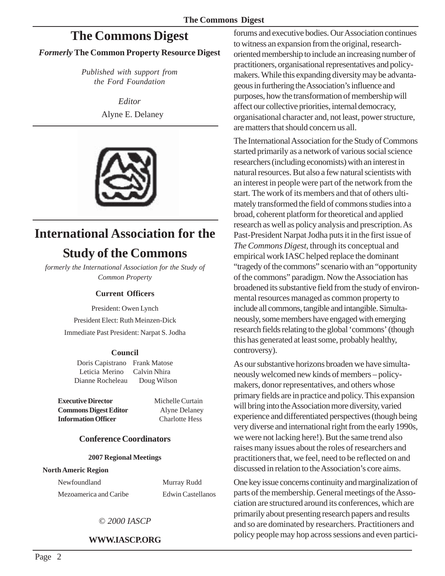### **The Commons Digest**

#### *Formerly* **The Common Property Resource Digest**

*Published with support from the Ford Foundation*

> *Editor* Alyne E. Delaney



# **International Association for the**

### **Study of the Commons**

*formerly the International Association for the Study of Common Property*

#### **Current Officers**

President: Owen Lynch President Elect: Ruth Meinzen-Dick Immediate Past President: Narpat S. Jodha

#### **Council**

Doris Capistrano Frank Matose Leticia Merino Calvin Nhira Dianne Rocheleau Doug Wilson

**Executive Director** Michelle Curtain **Commons Digest Editor** Alyne Delaney **Information Officer** Charlotte Hess

#### **Conference Coordinators**

#### **2007 Regional Meetings**

#### **North Americ Region**

Newfoundland Murray Rudd Mezoamerica and Caribe Edwin Castellanos

#### © *2000 IASCP*

#### **WWW.IASCP.ORG**

forums and executive bodies. Our Association continues to witness an expansion from the original, researchoriented membership to include an increasing number of practitioners, organisational representatives and policymakers. While this expanding diversity may be advantageous in furthering the Association's influence and purposes, how the transformation of membership will affect our collective priorities, internal democracy, organisational character and, not least, power structure, are matters that should concern us all.

The International Association for the Study of Commons started primarily as a network of various social science researchers (including economists) with an interest in natural resources. But also a few natural scientists with an interest in people were part of the network from the start. The work of its members and that of others ultimately transformed the field of commons studies into a broad, coherent platform for theoretical and applied research as well as policy analysis and prescription. As Past-President Narpat Jodha puts it in the first issue of *The Commons Digest*, through its conceptual and empirical work IASC helped replace the dominant "tragedy of the commons" scenario with an "opportunity of the commons" paradigm. Now the Association has broadened its substantive field from the study of environmental resources managed as common property to include all commons, tangible and intangible. Simultaneously, some members have engaged with emerging research fields relating to the global 'commons' (though this has generated at least some, probably healthy, controversy).

As our substantive horizons broaden we have simultaneously welcomed new kinds of members – policymakers, donor representatives, and others whose primary fields are in practice and policy. This expansion will bring into the Association more diversity, varied experience and differentiated perspectives (though being very diverse and international right from the early 1990s, we were not lacking here!). But the same trend also raises many issues about the roles of researchers and practitioners that, we feel, need to be reflected on and discussed in relation to the Association's core aims.

One key issue concerns continuity and marginalization of parts of the membership. General meetings of the Association are structured around its conferences, which are primarily about presenting research papers and results and so are dominated by researchers. Practitioners and policy people may hop across sessions and even partici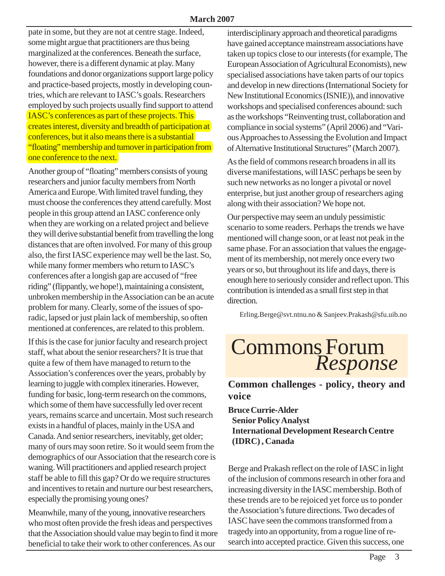pate in some, but they are not at centre stage. Indeed, some might argue that practitioners are thus being marginalized at the conferences. Beneath the surface, however, there is a different dynamic at play. Many foundations and donor organizations support large policy and practice-based projects, mostly in developing countries, which are relevant to IASC's goals. Researchers employed by such projects usually find support to attend IASC's conferences as part of these projects. This creates interest, diversity and breadth of participation at conferences, but it also means there is a substantial "floating" membership and turnover in participation from one conference to the next.

Another group of "floating" members consists of young researchers and junior faculty members from North America and Europe. With limited travel funding, they must choose the conferences they attend carefully. Most people in this group attend an IASC conference only when they are working on a related project and believe they will derive substantial benefit from travelling the long distances that are often involved. For many of this group also, the first IASC experience may well be the last. So, while many former members who return to IASC's conferences after a longish gap are accused of "free riding" (flippantly, we hope!), maintaining a consistent, unbroken membership in the Association can be an acute problem for many. Clearly, some of the issues of sporadic, lapsed or just plain lack of membership, so often mentioned at conferences, are related to this problem.

If this is the case for junior faculty and research project staff, what about the senior researchers? It is true that quite a few of them have managed to return to the Association's conferences over the years, probably by learning to juggle with complex itineraries. However, funding for basic, long-term research on the commons, which some of them have successfully led over recent years, remains scarce and uncertain. Most such research exists in a handful of places, mainly in the USA and Canada. And senior researchers, inevitably, get older; many of ours may soon retire. So it would seem from the demographics of our Association that the research core is waning. Will practitioners and applied research project staff be able to fill this gap? Or do we require structures and incentives to retain and nurture our best researchers, especially the promising young ones?

Meanwhile, many of the young, innovative researchers who most often provide the fresh ideas and perspectives that the Association should value may begin to find it more beneficial to take their work to other conferences. As our

interdisciplinary approach and theoretical paradigms have gained acceptance mainstream associations have taken up topics close to our interests (for example, The European Association of Agricultural Economists), new specialised associations have taken parts of our topics and develop in new directions (International Society for New Institutional Economics (ISNIE)), and innovative workshops and specialised conferences abound: such as the workshops "Reinventing trust, collaboration and compliance in social systems" (April 2006) and "Various Approaches to Assessing the Evolution and Impact of Alternative Institutional Structures" (March 2007).

As the field of commons research broadens in all its diverse manifestations, will IASC perhaps be seen by such new networks as no longer a pivotal or novel enterprise, but just another group of researchers aging along with their association? We hope not.

Our perspective may seem an unduly pessimistic scenario to some readers. Perhaps the trends we have mentioned will change soon, or at least not peak in the same phase. For an association that values the engagement of its membership, not merely once every two years or so, but throughout its life and days, there is enough here to seriously consider and reflect upon. This contribution is intended as a small first step in that direction.

Erling.Berge@svt.ntnu.no & Sanjeev.Prakash@sfu.uib.no

# Commons Forum *Response*

**Common challenges - policy, theory and voice**

**Bruce Currie-Alder Senior Policy Analyst International Development Research Centre (IDRC) , Canada**

Berge and Prakash reflect on the role of IASC in light of the inclusion of commons research in other fora and increasing diversity in the IASC membership. Both of these trends are to be rejoiced yet force us to ponder the Association's future directions. Two decades of IASC have seen the commons transformed from a tragedy into an opportunity, from a rogue line of research into accepted practice. Given this success, one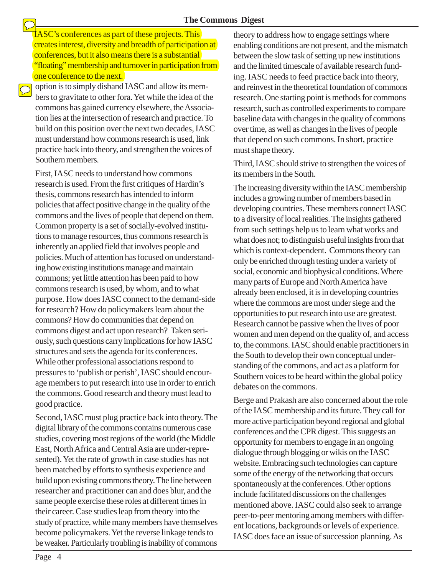IASC's conferences as part of these projects. This creates interest, diversity and breadth of participation at conferences, but it also means there is a substantial "floating" membership and turnover in participation from one conference to the next.

option is to simply disband IASC and allow its members to gravitate to other fora. Yet while the idea of the commons has gained currency elsewhere, the Association lies at the intersection of research and practice. To build on this position over the next two decades, IASC must understand how commons research is used, link practice back into theory, and strengthen the voices of Southern members.

 $\bigcirc$ 

First, IASC needs to understand how commons research is used. From the first critiques of Hardin's thesis, commons research has intended to inform policies that affect positive change in the quality of the commons and the lives of people that depend on them. Common property is a set of socially-evolved institutions to manage resources, thus commons research is inherently an applied field that involves people and policies. Much of attention has focused on understanding how existing institutions manage and maintain commons; yet little attention has been paid to how commons research is used, by whom, and to what purpose. How does IASC connect to the demand-side for research? How do policymakers learn about the commons? How do communities that depend on commons digest and act upon research? Taken seriously, such questions carry implications for how IASC structures and sets the agenda for its conferences. While other professional associations respond to pressures to 'publish or perish', IASC should encourage members to put research into use in order to enrich the commons. Good research and theory must lead to good practice.

Second, IASC must plug practice back into theory. The digital library of the commons contains numerous case studies, covering most regions of the world (the Middle East, North Africa and Central Asia are under-represented). Yet the rate of growth in case studies has not been matched by efforts to synthesis experience and build upon existing commons theory. The line between researcher and practitioner can and does blur, and the same people exercise these roles at different times in their career. Case studies leap from theory into the study of practice, while many members have themselves become policymakers. Yet the reverse linkage tends to be weaker. Particularly troubling is inability of commons

theory to address how to engage settings where enabling conditions are not present, and the mismatch between the slow task of setting up new institutions and the limited timescale of available research funding. IASC needs to feed practice back into theory, and reinvest in the theoretical foundation of commons research. One starting point is methods for commons research, such as controlled experiments to compare baseline data with changes in the quality of commons over time, as well as changes in the lives of people that depend on such commons. In short, practice must shape theory.

Third, IASC should strive to strengthen the voices of its members in the South.

The increasing diversity within the IASC membership includes a growing number of members based in developing countries. These members connect IASC to a diversity of local realities. The insights gathered from such settings help us to learn what works and what does not; to distinguish useful insights from that which is context-dependent. Commons theory can only be enriched through testing under a variety of social, economic and biophysical conditions. Where many parts of Europe and North America have already been enclosed, it is in developing countries where the commons are most under siege and the opportunities to put research into use are greatest. Research cannot be passive when the lives of poor women and men depend on the quality of, and access to, the commons. IASC should enable practitioners in the South to develop their own conceptual understanding of the commons, and act as a platform for Southern voices to be heard within the global policy debates on the commons.

Berge and Prakash are also concerned about the role of the IASC membership and its future. They call for more active participation beyond regional and global conferences and the CPR digest. This suggests an opportunity for members to engage in an ongoing dialogue through blogging or wikis on the IASC website. Embracing such technologies can capture some of the energy of the networking that occurs spontaneously at the conferences. Other options include facilitated discussions on the challenges mentioned above. IASC could also seek to arrange peer-to-peer mentoring among members with different locations, backgrounds or levels of experience. IASC does face an issue of succession planning. As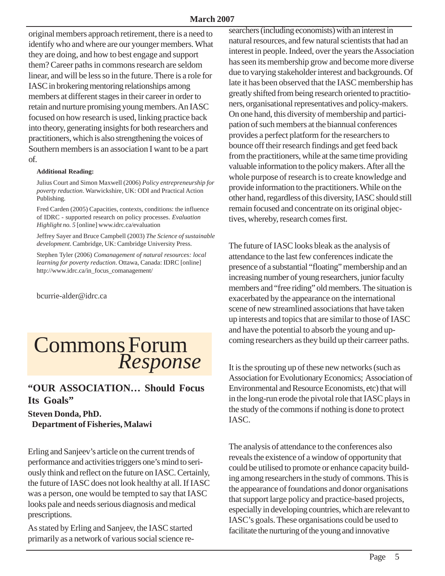original members approach retirement, there is a need to identify who and where are our younger members. What they are doing, and how to best engage and support them? Career paths in commons research are seldom linear, and will be less so in the future. There is a role for IASC in brokering mentoring relationships among members at different stages in their career in order to retain and nurture promising young members. An IASC focused on how research is used, linking practice back into theory, generating insights for both researchers and practitioners, which is also strengthening the voices of Southern members is an association I want to be a part of.

#### **Additional Reading:**

Julius Court and Simon Maxwell (2006) *Policy entrepreneurship for poverty reduction*. Warwickshire, UK: ODI and Practical Action Publishing.

Fred Carden (2005) Capacities, contexts, conditions: the influence of IDRC - supported research on policy processes. *Evaluation Highlight no. 5* [online] www.idrc.ca/evaluation

Jeffrey Sayer and Bruce Campbell (2003) *The Science of sustainable development*. Cambridge, UK: Cambridge University Press.

Stephen Tyler (2006) *Comanagement of natural resources: local learning for poverty reduction*. Ottawa, Canada: IDRC [online] http://www.idrc.ca/in\_focus\_comanagement/

bcurrie-alder@idrc.ca

# Commons Forum *Response*

#### **"OUR ASSOCIATION… Should Focus Its Goals"**

#### **Steven Donda, PhD. Department of Fisheries, Malawi**

Erling and Sanjeev's article on the current trends of performance and activities triggers one's mind to seriously think and reflect on the future on IASC. Certainly, the future of IASC does not look healthy at all. If IASC was a person, one would be tempted to say that IASC looks pale and needs serious diagnosis and medical prescriptions.

As stated by Erling and Sanjeev, the IASC started primarily as a network of various social science researchers (including economists) with an interest in natural resources, and few natural scientists that had an interest in people. Indeed, over the years the Association has seen its membership grow and become more diverse due to varying stakeholder interest and backgrounds. Of late it has been observed that the IASC membership has greatly shifted from being research oriented to practitioners, organisational representatives and policy-makers. On one hand, this diversity of membership and participation of such members at the biannual conferences provides a perfect platform for the researchers to bounce off their research findings and get feed back from the practitioners, while at the same time providing valuable information to the policy makers. After all the whole purpose of research is to create knowledge and provide information to the practitioners. While on the other hand, regardless of this diversity, IASC should still remain focused and concentrate on its original objectives, whereby, research comes first.

The future of IASC looks bleak as the analysis of attendance to the last few conferences indicate the presence of a substantial "floating" membership and an increasing number of young researchers, junior faculty members and "free riding" old members. The situation is exacerbated by the appearance on the international scene of new streamlined associations that have taken up interests and topics that are similar to those of IASC and have the potential to absorb the young and upcoming researchers as they build up their carreer paths.

It is the sprouting up of these new networks (such as Association for Evolutionary Economics; Association of Environmental and Resource Economists, etc) that will in the long-run erode the pivotal role that IASC plays in the study of the commons if nothing is done to protect IASC.

The analysis of attendance to the conferences also reveals the existence of a window of opportunity that could be utilised to promote or enhance capacity building among researchers in the study of commons. This is the appearance of foundations and donor organisations that support large policy and practice-based projects, especially in developing countries, which are relevant to IASC's goals. These organisations could be used to facilitate the nurturing of the young and innovative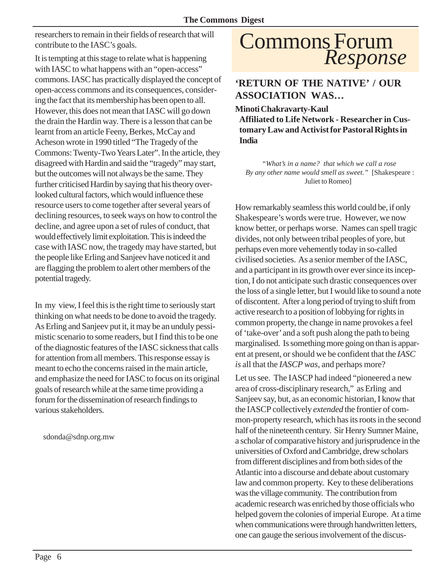researchers to remain in their fields of research that will contribute to the IASC's goals.

It is tempting at this stage to relate what is happening with IASC to what happens with an "open-access" commons. IASC has practically displayed the concept of open-access commons and its consequences, considering the fact that its membership has been open to all. However, this does not mean that IASC will go down the drain the Hardin way. There is a lesson that can be learnt from an article Feeny, Berkes, McCay and Acheson wrote in 1990 titled "The Tragedy of the Commons: Twenty-Two Years Later". In the article, they disagreed with Hardin and said the "tragedy" may start, but the outcomes will not always be the same. They further criticised Hardin by saying that his theory overlooked cultural factors, which would influence these resource users to come together after several years of declining resources, to seek ways on how to control the decline, and agree upon a set of rules of conduct, that would effectively limit exploitation. This is indeed the case with IASC now, the tragedy may have started, but the people like Erling and Sanjeev have noticed it and are flagging the problem to alert other members of the potential tragedy.

In my view, I feel this is the right time to seriously start thinking on what needs to be done to avoid the tragedy. As Erling and Sanjeev put it, it may be an unduly pessimistic scenario to some readers, but I find this to be one of the diagnostic features of the IASC sickness that calls for attention from all members. This response essay is meant to echo the concerns raised in the main article, and emphasize the need for IASC to focus on its original goals of research while at the same time providing a forum for the dissemination of research findings to various stakeholders.

sdonda@sdnp.org.mw

## Commons Forum *Response*

**'RETURN OF THE NATIVE' / OUR ASSOCIATION WAS…**

**Minoti Chakravarty-Kaul**

**Affiliated to Life Network - Researcher in Customary Law and Activist for Pastoral Rights in India**

 *"What's in a name? that which we call a rose By any other name would smell as sweet."* [Shakespeare : Juliet to Romeo]

How remarkably seamless this world could be, if only Shakespeare's words were true. However, we now know better, or perhaps worse. Names can spell tragic divides, not only between tribal peoples of yore, but perhaps even more vehemently today in so-called civilised societies. As a senior member of the IASC, and a participant in its growth over ever since its inception, I do not anticipate such drastic consequences over the loss of a single letter, but I would like to sound a note of discontent. After a long period of trying to shift from active research to a position of lobbying for rights in common property, the change in name provokes a feel of 'take-over' and a soft push along the path to being marginalised. Is something more going on than is apparent at present, or should we be confident that the *IASC is* all that the *IASCP was*, and perhaps more?

Let us see. The IASCP had indeed "pioneered a new area of cross-disciplinary research," as Erling and Sanjeev say, but, as an economic historian, I know that the IASCP collectively *extended* the frontier of common-property research, which has its roots in the second half of the nineteenth century. Sir Henry Sumner Maine, a scholar of comparative history and jurisprudence in the universities of Oxford and Cambridge, drew scholars from different disciplines and from both sides of the Atlantic into a discourse and debate about customary law and common property. Key to these deliberations was the village community. The contribution from academic research was enriched by those officials who helped govern the colonies of imperial Europe. At a time when communications were through handwritten letters, one can gauge the serious involvement of the discus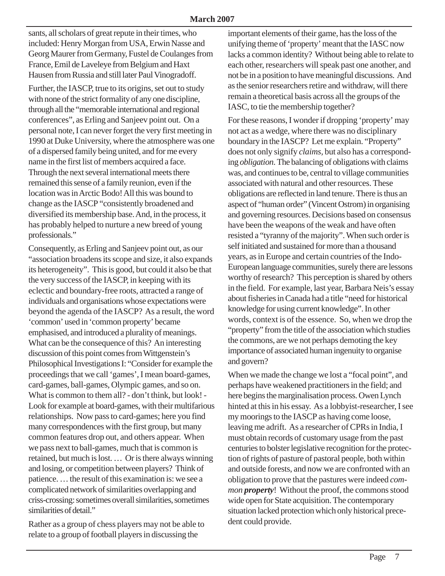sants, all scholars of great repute in their times, who included: Henry Morgan from USA, Erwin Nasse and Georg Maurer from Germany, Fustel de Coulanges from France, Emil de Laveleye from Belgium and Haxt Hausen from Russia and still later Paul Vinogradoff.

Further, the IASCP, true to its origins, set out to study with none of the strict formality of any one discipline, through all the "memorable international and regional conferences", as Erling and Sanjeev point out. On a personal note, I can never forget the very first meeting in 1990 at Duke University, where the atmosphere was one of a dispersed family being united, and for me every name in the first list of members acquired a face. Through the next several international meets there remained this sense of a family reunion, even if the location was in Arctic Bodo! All this was bound to change as the IASCP "consistently broadened and diversified its membership base. And, in the process, it has probably helped to nurture a new breed of young professionals."

Consequently, as Erling and Sanjeev point out, as our "association broadens its scope and size, it also expands its heterogeneity". This is good, but could it also be that the very success of the IASCP, in keeping with its eclectic and boundary-free roots, attracted a range of individuals and organisations whose expectations were beyond the agenda of the IASCP? As a result, the word 'common' used in 'common property' became emphasised, and introduced a plurality of meanings. What can be the consequence of this? An interesting discussion of this point comes from Wittgenstein's Philosophical Investigations I: "Consider for example the proceedings that we call 'games', I mean board-games, card-games, ball-games, Olympic games, and so on. What is common to them all? - don't think, but look! - Look for example at board-games, with their multifarious relationships. Now pass to card-games; here you find many correspondences with the first group, but many common features drop out, and others appear. When we pass next to ball-games, much that is common is retained, but much is lost. … Or is there always winning and losing, or competition between players? Think of patience. … the result of this examination is: we see a complicated network of similarities overlapping and criss-crossing: sometimes overall similarities, sometimes similarities of detail."

Rather as a group of chess players may not be able to relate to a group of football players in discussing the

important elements of their game, has the loss of the unifying theme of 'property' meant that the IASC now lacks a common identity? Without being able to relate to each other, researchers will speak past one another, and not be in a position to have meaningful discussions. And as the senior researchers retire and withdraw, will there remain a theoretical basis across all the groups of the IASC, to tie the membership together?

For these reasons, I wonder if dropping 'property' may not act as a wedge, where there was no disciplinary boundary in the IASCP? Let me explain. "Property" does not only signify *claims,* but also has a corresponding *obligation*. The balancing of obligations with claims was, and continues to be, central to village communities associated with natural and other resources. These obligations are reflected in land tenure. There is thus an aspect of "human order" (Vincent Ostrom) in organising and governing resources. Decisions based on consensus have been the weapons of the weak and have often resisted a "tyranny of the majority". When such order is self initiated and sustained for more than a thousand years, as in Europe and certain countries of the Indo-European language communities, surely there are lessons worthy of research? This perception is shared by others in the field. For example, last year, Barbara Neis's essay about fisheries in Canada had a title "need for historical knowledge for using current knowledge". In other words, context is of the essence. So, when we drop the "property" from the title of the association which studies the commons, are we not perhaps demoting the key importance of associated human ingenuity to organise and govern?

When we made the change we lost a "focal point", and perhaps have weakened practitioners in the field; and here begins the marginalisation process. Owen Lynch hinted at this in his essay. As a lobbyist-researcher, I see my moorings to the IASCP as having come loose, leaving me adrift. As a researcher of CPRs in India, I must obtain records of customary usage from the past centuries to bolster legislative recognition for the protection of rights of pasture of pastoral people, both within and outside forests, and now we are confronted with an obligation to prove that the pastures were indeed *common property*! Without the proof, the commons stood wide open for State acquisition. The contemporary situation lacked protection which only historical precedent could provide.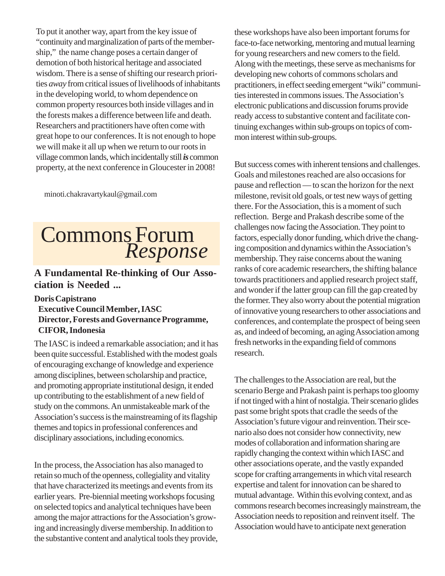To put it another way, apart from the key issue of "continuity and marginalization of parts of the membership," the name change poses a certain danger of demotion of both historical heritage and associated wisdom. There is a sense of shifting our research priorities *away* from critical issues of livelihoods of inhabitants in the developing world, to whom dependence on common property resources both inside villages and in the forests makes a difference between life and death. Researchers and practitioners have often come with great hope to our conferences. It is not enough to hope we will make it all up when we return to our roots in village common lands, which incidentally still *is* common property, at the next conference in Gloucester in 2008!

minoti.chakravartykaul@gmail.com

# Commons Forum *Response*

#### **A Fundamental Re-thinking of Our Association is Needed ...**

**Doris Capistrano**

#### **Executive Council Member, IASC Director, Forests and Governance Programme, CIFOR, Indonesia**

The IASC is indeed a remarkable association; and it has been quite successful. Established with the modest goals of encouraging exchange of knowledge and experience among disciplines, between scholarship and practice, and promoting appropriate institutional design, it ended up contributing to the establishment of a new field of study on the commons. An unmistakeable mark of the Association's success is the mainstreaming of its flagship themes and topics in professional conferences and disciplinary associations, including economics.

In the process, the Association has also managed to retain so much of the openness, collegiality and vitality that have characterized its meetings and events from its earlier years. Pre-biennial meeting workshops focusing on selected topics and analytical techniques have been among the major attractions for the Association's growing and increasingly diverse membership. In addition to the substantive content and analytical tools they provide, these workshops have also been important forums for face-to-face networking, mentoring and mutual learning for young researchers and new comers to the field. Along with the meetings, these serve as mechanisms for developing new cohorts of commons scholars and practitioners, in effect seeding emergent "wiki" communities interested in commons issues. The Association's electronic publications and discussion forums provide ready access to substantive content and facilitate continuing exchanges within sub-groups on topics of common interest within sub-groups.

But success comes with inherent tensions and challenges. Goals and milestones reached are also occasions for pause and reflection — to scan the horizon for the next milestone, revisit old goals, or test new ways of getting there. For the Association, this is a moment of such reflection. Berge and Prakash describe some of the challenges now facing the Association. They point to factors, especially donor funding, which drive the changing composition and dynamics within the Association's membership. They raise concerns about the waning ranks of core academic researchers, the shifting balance towards practitioners and applied research project staff, and wonder if the latter group can fill the gap created by the former. They also worry about the potential migration of innovative young researchers to other associations and conferences, and contemplate the prospect of being seen as, and indeed of becoming, an aging Association among fresh networks in the expanding field of commons research.

The challenges to the Association are real, but the scenario Berge and Prakash paint is perhaps too gloomy if not tinged with a hint of nostalgia. Their scenario glides past some bright spots that cradle the seeds of the Association's future vigour and reinvention. Their scenario also does not consider how connectivity, new modes of collaboration and information sharing are rapidly changing the context within which IASC and other associations operate, and the vastly expanded scope for crafting arrangements in which vital research expertise and talent for innovation can be shared to mutual advantage. Within this evolving context, and as commons research becomes increasingly mainstream, the Association needs to reposition and reinvent itself. The Association would have to anticipate next generation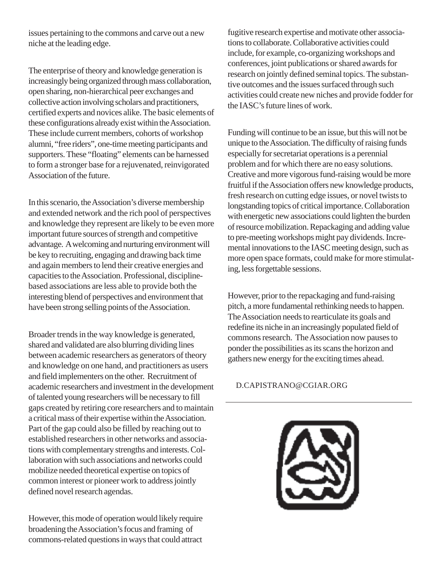issues pertaining to the commons and carve out a new niche at the leading edge.

The enterprise of theory and knowledge generation is increasingly being organized through mass collaboration, open sharing, non-hierarchical peer exchanges and collective action involving scholars and practitioners, certified experts and novices alike. The basic elements of these configurations already exist within the Association. These include current members, cohorts of workshop alumni, "free riders", one-time meeting participants and supporters. These "floating" elements can be harnessed to form a stronger base for a rejuvenated, reinvigorated Association of the future.

In this scenario, the Association's diverse membership and extended network and the rich pool of perspectives and knowledge they represent are likely to be even more important future sources of strength and competitive advantage. A welcoming and nurturing environment will be key to recruiting, engaging and drawing back time and again members to lend their creative energies and capacities to the Association. Professional, disciplinebased associations are less able to provide both the interesting blend of perspectives and environment that have been strong selling points of the Association.

Broader trends in the way knowledge is generated, shared and validated are also blurring dividing lines between academic researchers as generators of theory and knowledge on one hand, and practitioners as users and field implementers on the other. Recruitment of academic researchers and investment in the development of talented young researchers will be necessary to fill gaps created by retiring core researchers and to maintain a critical mass of their expertise within the Association. Part of the gap could also be filled by reaching out to established researchers in other networks and associations with complementary strengths and interests. Collaboration with such associations and networks could mobilize needed theoretical expertise on topics of common interest or pioneer work to address jointly defined novel research agendas.

However, this mode of operation would likely require broadening the Association's focus and framing of commons-related questions in ways that could attract

fugitive research expertise and motivate other associations to collaborate. Collaborative activities could include, for example, co-organizing workshops and conferences, joint publications or shared awards for research on jointly defined seminal topics. The substantive outcomes and the issues surfaced through such activities could create new niches and provide fodder for the IASC's future lines of work.

Funding will continue to be an issue, but this will not be unique to the Association. The difficulty of raising funds especially for secretariat operations is a perennial problem and for which there are no easy solutions. Creative and more vigorous fund-raising would be more fruitful if the Association offers new knowledge products, fresh research on cutting edge issues, or novel twists to longstanding topics of critical importance. Collaboration with energetic new associations could lighten the burden of resource mobilization. Repackaging and adding value to pre-meeting workshops might pay dividends. Incremental innovations to the IASC meeting design, such as more open space formats, could make for more stimulating, less forgettable sessions.

However, prior to the repackaging and fund-raising pitch, a more fundamental rethinking needs to happen. The Association needs to rearticulate its goals and redefine its niche in an increasingly populated field of commons research. The Association now pauses to ponder the possibilities as its scans the horizon and gathers new energy for the exciting times ahead.

#### D.CAPISTRANO@CGIAR.ORG

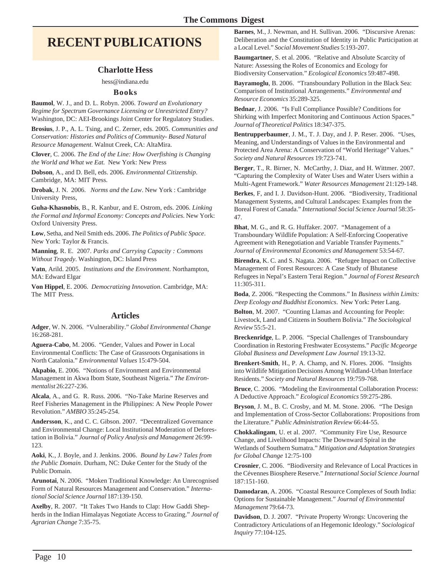### **RECENT PUBLICATIONS**

#### **Charlotte Hess**

#### hess@indiana.edu

#### **Books**

**Baumol**, W. J., and D. L. Robyn. 2006. *Toward an Evolutionary Regime for Spectrum Governance Licensing or Unrestricted Entry?* Washington, DC: AEI-Brookings Joint Center for Regulatory Studies.

**Brosius**, J. P., A. L. Tsing, and C. Zerner, eds. 2005. *Communities and Conservation: Histories and Politics of Community- Based Natural Resource Management*. Walnut Creek, CA: AltaMira.

**Clover**, C. 2006. *The End of the Line: How Overfishing is Changing the World and What we Eat.* New York: New Press

**Dobson**, A., and D. Bell, eds. 2006. *Environmental Citizenship*. Cambridge, MA: MIT Press.

**Drobak**, J. N. 2006. *Norms and the Law*. New York : Cambridge University Press,

**Guha-Khasnobis**, B., R. Kanbur, and E. Ostrom, eds. 2006. *Linking the Formal and Informal Economy: Concepts and Policies*. New York: Oxford University Press.

**Low**, Setha, and Neil Smith eds. 2006. *The Politics of Public Space*. New York: Taylor & Francis.

**Manning**, R. E. 2007. *Parks and Carrying Capacity : Commons Without Tragedy*. Washington, DC: Island Press

**Vatn**, Arild. 2005. *Institutions and the Environment*. Northampton, MA: Edward Elgar

**Von Hippel**, E. 2006. *Democratizing Innovation*. Cambridge, MA: The MIT Press.

#### **Articles**

**Adger**, W. N. 2006. "Vulnerability." *Global Environmental Change* 16:268-281.

**Aguera-Cabo**, M. 2006. "Gender, Values and Power in Local Environmental Conflicts: The Case of Grassroots Organisations in North Catalonia." *Environmental Values* 15:479-504.

**Akpabio**, E. 2006. "Notions of Environment and Environmental Management in Akwa Ibom State, Southeast Nigeria." *The Environmentalist* 26:227-236.

**Alcala**, A., and G. R. Russ. 2006. "No-Take Marine Reserves and Reef Fisheries Management in the Philippines: A New People Power Revolution." *AMBIO* 35:245-254.

**Andersson**, K., and C. C. Gibson. 2007. "Decentralized Governance and Environmental Change: Local Institutional Moderation of Deforestation in Bolivia." *Journal of Policy Analysis and Management* 26:99- 123.

**Aoki**, K., J. Boyle, and J. Jenkins. 2006. *Bound by Law? Tales from the Public Domain*. Durham, NC: Duke Center for the Study of the Public Domain.

**Arunotai**, N. 2006. "Moken Traditional Knowledge: An Unrecognised Form of Natural Resources Management and Conservation." *International Social Science Journal* 187:139-150.

**Axelby**, R. 2007. "It Takes Two Hands to Clap: How Gaddi Shepherds in the Indian Himalayas Negotiate Access to Grazing." *Journal of Agrarian Change* 7:35-75.

**Barnes**, M., J. Newman, and H. Sullivan. 2006. "Discursive Arenas: Deliberation and the Constitution of Identity in Public Participation at a Local Level." *Social Movement Studies* 5:193-207.

**Baumgartner**, S. et al. 2006. "Relative and Absolute Scarcity of Nature: Assessing the Roles of Economics and Ecology for Biodiversity Conservation." *Ecological Economics* 59:487-498.

**Bayramoglu**, B. 2006. "Transboundary Pollution in the Black Sea: Comparison of Institutional Arrangements." *Environmental and Resource Economics* 35:289-325.

**Bednar**, J. 2006. "Is Full Compliance Possible? Conditions for Shirking with Imperfect Monitoring and Continuous Action Spaces." *Journal of Theoretical Politics* 18:347-375.

**Bentrupperbaumer**, J. M., T. J. Day, and J. P. Reser. 2006. "Uses, Meaning, and Understandings of Values in the Environmental and Protected Area Arena: A Conservation of "World Heritage" Values." *Society and Natural Resources* 19:723-741.

**Berger**, T., R. Birner, N. McCarthy, J. Diaz, and H. Wittmer. 2007. "Capturing the Complexity of Water Uses and Water Users within a Multi-Agent Framework." *Water Resources Management* 21:129-148.

**Berkes**, F, and I. J. Davidson-Hunt. 2006. "Biodiversity, Traditional Management Systems, and Cultural Landscapes: Examples from the Boreal Forest of Canada." *International Social Science Journal* 58:35- 47.

**Bhat**, M. G., and R. G. Huffaker. 2007. "Management of a Transboundary Wildlife Population: A Self-Enforcing Cooperative Agreement with Renegotiation and Variable Transfer Payments." *Journal of Environmental Economics and Management* 53:54-67.

**Birendra**, K. C. and S. Nagata. 2006. "Refugee Impact on Collective Management of Forest Resources: A Case Study of Bhutanese Refugees in Nepal's Eastern Terai Region." *Journal of Forest Research* 11:305-311.

**Boda**, Z. 2006. "Respecting the Commons." In *Business within Limits: Deep Ecology and Buddhist Economics*. New York: Peter Lang.

**Bolton**, M. 2007. "Counting Llamas and Accounting for People: Livestock, Land and Citizens in Southern Bolivia." *The Sociological Review* 55:5-21.

**Breckenridge**, L. P. 2006. "Special Challenges of Transboundary Coordination in Restoring Freshwater Ecosystems." *Pacific Mcgeorge Global Business and Development Law Journal* 19:13-32.

**Brenkert-Smith**, H., P. A. Champ, and N. Flores. 2006. "Insights into Wildlife Mitigation Decisions Among Wildland-Urban Interface Residents." *Society and Natural Resources* 19:759-768.

**Bruce**, C. 2006. "Modeling the Environmental Collaboration Process: A Deductive Approach." *Ecological Economics* 59:275-286.

**Bryson**, J. M., B. C. Crosby, and M. M. Stone. 2006. "The Design and Implementation of Cross-Sector Collaborations: Propositions from the Literature." *Public Administration Review* 66:44-55.

**Chokkalingam**, U. et al. 2007. "Community Fire Use, Resource Change, and Livelihood Impacts: The Downward Spiral in the Wetlands of Southern Sumatra." *Mitigation and Adaptation Strategies for Global Change* 12:75-100

**Crosnier**, C. 2006. "Biodiversity and Relevance of Local Practices in the Cévennes Biosphere Reserve." *International Social Science Journal* 187:151-160.

**Damodaran**, A. 2006. "Coastal Resource Complexes of South India: Options for Sustainable Management." *Journal of Environmental Management* 79:64-73.

**Davidson**, D. J. 2007. "Private Property Wrongs: Uncovering the Contradictory Articulations of an Hegemonic Ideology." *Sociological Inquiry* 77:104-125.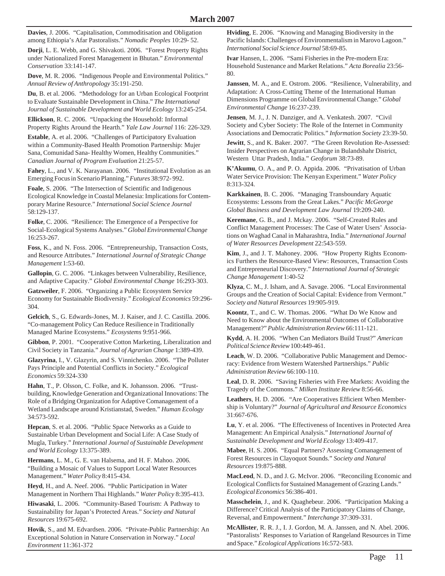**Davies**, J. 2006. "Capitalisation, Commoditisation and Obligation among Ethiopia's Afar Pastoralists." *Nomadic Peoples* 10:29- 52.

**Dorji**, L. E. Webb, and G. Shivakoti. 2006. "Forest Property Rights under Nationalized Forest Management in Bhutan." *Environmental Conservation* 33:141-147.

**Dove**, M. R. 2006. "Indigenous People and Environmental Politics." *Annual Review of Anthropology* 35:191-250.

**Du**, B. et al. 2006. "Methodology for an Urban Ecological Footprint to Evaluate Sustainable Development in China." *The International Journal of Sustainable Development and World Ecology* 13:245-254.

**Ellickson**, R. C. 2006. "Unpacking the Household: Informal Property Rights Around the Hearth." *Yale Law Journal* 116: 226-329.

**Estable**, A. et al. 2006. "Challenges of Participatory Evaluation within a Community-Based Health Promotion Partnership: Mujer Sana, Comunidad Sana- Healthy Women, Healthy Communities." *Canadian Journal of Program Evaluation* 21:25-57.

**Fahey**, L., and V. K. Narayanan. 2006. "Institutional Evolution as an Emerging Focus in Scenario Planning." *Futures* 38:972- 992.

**Foale**, S. 2006. "The Intersection of Scientific and Indigenous Ecological Knowledge in Coastal Melanesia: Implications for Contemporary Marine Resource." *International Social Science Journal* 58:129-137.

**Folke**, C. 2006. "Resilience: The Emergence of a Perspective for Social-Ecological Systems Analyses." *Global Environmental Change* 16:253-267.

**Foss**, K., and N. Foss. 2006. "Entrepreneurship, Transaction Costs, and Resource Attributes." *International Journal of Strategic Change Management* 1:53-60.

**Gallopin**, G. C. 2006. "Linkages between Vulnerability, Resilience, and Adaptive Capacity." *Global Environmental Change* 16:293-303.

**Gatzweiler**, F. 2006. "Organizing a Public Ecosystem Service Economy for Sustainable Biodiversity." *Ecological Economics* 59:296- 304.

**Gelcich**, S., G. Edwards-Jones, M. J. Kaiser, and J. C. Castilla. 2006. "Co-management Policy Can Reduce Resilience in Traditionally Managed Marine Ecosystems." *Ecosystems* 9:951-966.

**Gibbon**, P. 2001. "Cooperative Cotton Marketing, Liberalization and Civil Society in Tanzania." *Journal of Agrarian Change* 1:389-439.

**Glazyrina**, I., V. Glazyrin, and S. Vinnichenko. 2006. "The Polluter Pays Principle and Potential Conflicts in Society." *Ecological Economics* 59:324-330

**Hahn**, T., P. Olsson, C. Folke, and K. Johansson. 2006. "Trustbuilding, Knowledge Generation and Organizational Innovations: The Role of a Bridging Organization for Adaptive Comanagement of a Wetland Landscape around Kristianstad, Sweden." *Human Ecology* 34:573-592.

**Hepcan**, S. et al. 2006. "Public Space Networks as a Guide to Sustainable Urban Development and Social Life: A Case Study of Mugla, Turkey." *International Journal of Sustainable Development and World Ecology* 13:375-389.

**Hermans**, L. M., G. E. van Halsema, and H. F. Mahoo. 2006. "Building a Mosaic of Values to Support Local Water Resources Management." *Water Policy* 8:415-434.

**Heyd**, H., and A. Neef. 2006. "Public Participation in Water Management in Northern Thai Highlands." *Water Policy* 8:395-413.

**Hiwasaki**, L. 2006. "Community-Based Tourism: A Pathway to Sustainability for Japan's Protected Areas." *Society and Natural Resources* 19:675-692.

**Hovik**, S., and M. Edvardsen. 2006. "Private-Public Partnership: An Exceptional Solution in Nature Conservation in Norway." *Local Environment* 11:361-372

**Hviding**, E. 2006. "Knowing and Managing Biodiversity in the Pacific Islands: Challenges of Environmentalism in Marovo Lagoon." *International Social Science Journal* 58:69-85.

**Ivar** Hansen, L. 2006. "Sami Fisheries in the Pre-modern Era: Household Sustenance and Market Relations." *Acta Borealia* 23:56- 80.

**Janssen**, M. A., and E. Ostrom. 2006. "Resilience, Vulnerability, and Adaptation: A Cross-Cutting Theme of the International Human Dimensions Programme on Global Environmental Change." *Global Environmental Change* 16:237-239.

**Jensen**, M. J., J. N. Danziger, and A. Venkatesh. 2007. "Civil Society and Cyber Society: The Role of the Internet in Community Associations and Democratic Politics." *Information Society* 23:39-50.

**Jewitt**, S., and K. Baker. 2007. "The Green Revolution Re-Assessed: Insider Perspectives on Agrarian Change in Bulandshahr District, Western Uttar Pradesh, India." *Geoforum* 38:73-89.

**K'Akumu**, O. A., and P. O. Appida. 2006. "Privatisation of Urban Water Service Provision: The Kenyan Experiment." *Water Policy* 8:313-324.

**Karkkainen**, B. C. 2006. "Managing Transboundary Aquatic Ecosystems: Lessons from the Great Lakes." *Pacific McGeorge Global Business and Development Law Journal* 19:209-240.

**Keremane**, G. B., and J. Mckay. 2006. "Self-Created Rules and Conflict Management Processes: The Case of Water Users' Associations on Waghad Canal in Maharashtra, India." *International Journal of Water Resources Development* 22:543-559.

**Kim**, J., and J. T. Mahoney. 2006. "How Property Rights Economics Furthers the Resource-Based View: Resources, Transaction Costs and Entrepreneurial Discovery." *International Journal of Strategic Change Management* 1:40-52

**Klyza**, C. M., J. Isham, and A. Savage. 2006. "Local Environmental Groups and the Creation of Social Capital: Evidence from Vermont." *Society and Natural Resources* 19:905-919.

**Koontz**, T., and C. W. Thomas. 2006. "What Do We Know and Need to Know about the Environmental Outcomes of Collaborative Management?" *Public Administration Review* 66:111-121.

**Kydd**, A. H. 2006. "When Can Mediators Build Trust?" *American Political Science Review* 100:449-461.

**Leach**, W. D. 2006. "Collaborative Public Management and Democracy: Evidence from Western Watershed Partnerships." *Public Administration Review* 66:100-110.

**Leal**, D. R. 2006. "Saving Fisheries with Free Markets: Avoiding the Tragedy of the Commons." *Milken Institute Review* 8:56-66.

**Leathers**, H. D. 2006. "Are Cooperatives Efficient When Membership is Voluntary?" *Journal of Agricultural and Resource Economics* 31:667-676.

**Lu**, Y. et al. 2006. "The Effectiveness of Incentives in Protected Area Management: An Empirical Analysis." *International Journal of Sustainable Development and World Ecology* 13:409-417.

**Mabee**, H. S. 2006. "Equal Partners? Assessing Comanagement of Forest Resources in Clayoquot Sounds." *Society and Natural Resources* 19:875-888.

**MacLeod**, N. D., and J. G. McIvor. 2006. "Reconciling Economic and Ecological Conflicts for Sustained Management of Grazing Lands." *Ecological Economics* 56:386-401.

**Masschelein**, J., and K. Quaghebeur. 2006. "Participation Making a Difference? Critical Analysis of the Participatory Claims of Change, Reversal, and Empowerment." *Interchange* 37:309-331.

**McAllister**, R. R. J., I. J. Gordon, M. A. Janssen, and N. Abel. 2006. "Pastoralists' Responses to Variation of Rangeland Resources in Time and Space." *Ecological Applications* 16:572-583.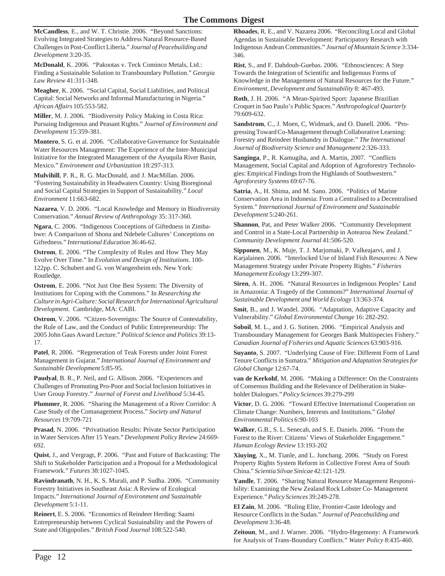**McCandless**, E., and W. T. Christie. 2006. "Beyond Sanctions: Evolving Integrated Strategies to Address Natural Resource-Based Challenges in Post-Conflict Liberia." *Journal of Peacebuilding and Development* 3:20-35.

**McDonald**, K. 2006. "Pakootas v. Teck Cominco Metals, Ltd.: Finding a Sustainable Solution to Transboundary Pollution." *Georgia Law Review* 41:311-348.

**Meagher**, K. 2006. "Social Capital, Social Liabilities, and Political Capital: Social Networks and Informal Manufacturing in Nigeria." *African Affairs* 105:553-582.

**Miller**, M. J. 2006. "Biodiversity Policy Making in Costa Rica: Pursuing Indigenous and Peasant Rights." *Journal of Environment and Development* 15:359-381.

**Montero**, S. G. et al. 2006. "Collaborative Governance for Sustainable Water Resources Management: The Experience of the Inter-Municipal Initiative for the Integrated Management of the Ayuquila River Basin, Mexico." *Environment and Urbanization* 18:297-313.

**Mulvihill**, P. R., R. G. MacDonald, and J. MacMillan. 2006. "Fostering Sustainability in Headwaters Country: Using Bioregional and Social Capital Strategies in Support of Sustainability." *Local Environment* 11:663-682.

**Nazarea**, V. D. 2006. "Local Knowledge and Memory in Biodiversity Conservation." *Annual Review of Anthropology* 35: 317-360.

**Ngara**, C. 2006. "Indigenous Conceptions of Giftedness in Zimbabwe: A Comparison of Shona and Ndebele Cultures' Conceptions on Giftedness." *International Education* 36:46-62.

**Ostrom**, E. 2006. "The Complexity of Rules and How They May Evolve Over Time." In *Evolution and Design of Institutions*. 100- 122pp. C. Schubert and G. von Wangenheim eds. New York: Routledge.

**Ostrom**, E. 2006. "Not Just One Best System: The Diversity of Institutions for Coping with the Commons." In *Researching the Culture in Agri-Culture: Social Research for International Agricultural Development*. Cambridge, MA: CABI.

**Ostrom**, V. 2006. "Citizen-Sovereigns: The Source of Contestability, the Rule of Law, and the Conduct of Public Entrepreneurship: The 2005 John Gaus Award Lecture." *Political Science and Politics* 39:13- 17.

**Patel**, R. 2006. "Regeneration of Teak Forests under Joint Forest Management in Gujarat." *International Journal of Environment and Sustainable Development* 5:85-95.

**Paudyal**, B. R., P. Neil, and G. Allison. 2006. "Experiences and Challenges of Promoting Pro-Poor and Social Inclusion Initiatives in User Group Forestry." *Journal of Forest and Livelihood* 5:34-45.

**Plummer**, R. 2006. "Sharing the Management of a River Corridor: A Case Study of the Comanagement Process." *Society and Natural Resources* 19:709-721

**Prasad**, N. 2006. "Privatisation Results: Private Sector Participation in Water Services After 15 Years." *Development Policy Review* 24:669- 692.

**Quist**, J., and Vergragt, P. 2006. "Past and Future of Backcasting: The Shift to Stakeholder Participation and a Proposal for a Methodological Framework." *Futures* 38:1027-1045.

**Ravindranath**, N. H., K. S. Murali, and P. Sudha. 2006. "Community Forestry Initiatives in Southeast Asia: A Review of Ecological Impacts." *International Journal of Environment and Sustainable Development* 5:1-11.

**Reinert**, E. S. 2006. "Economics of Reindeer Herding: Saami Entrepreneurship between Cyclical Sustainability and the Powers of State and Oligopolies." *British Food Journal* 108:522-540.

**Rhoades**, R. E., and V. Nazarea 2006. "Reconciling Local and Global Agendas in Sustainable Development: Participatory Research with Indigenous Andean Communities." *Journal of Mountain Science* 3:334- 346.

**Rist**, S., and F. Dahdouh-Guebas. 2006. "Ethnosciences: A Step Towards the Integration of Scientific and Indigenous Forms of Knowledge in the Management of Natural Resources for the Future." *Environment, Development and Sustainability* 8: 467-493.

**Roth**, J. H. 2006. "A Mean-Spirited Sport: Japanese Brazilian Croquet in Sao Paulo's Public Spaces." *Anthropological Quarterly* 79:609-632.

**Sandstrom**, C., J. Moen, C, Widmark, and O. Danell. 2006. "Progressing Toward Co-Management through Collaborative Learning: Forestry and Reindeer Husbandry in Dialogue." *The International Journal of Biodiversity Science and Management* 2:326-333.

**Sanginga**, P., R. Kamugiha, and A. Martin, 2007. "Conflicts Management, Social Capital and Adoption of Agroforestry Technologies: Empirical Findings from the Highlands of Southwestern." *Agroforestry Systems* 69:67-76.

**Satria**, A., H. Shima, and M. Sano. 2006. "Politics of Marine Conservation Area in Indonesia: From a Centralised to a Decentralised System." *International Journal of Environment and Sustainable Development* 5:240-261.

**Shannon**, Pat, and Peter Walker 2006. "Community Development and Control in a State-Local Partnership in Aotearoa New Zealand." *Community Development Journal* 41:506-520.

**Sipponen**, M., K. Muje, T. J. Marjomaki, P. Valkeajarvi, and J. Karjalainen. 2006. "Interlocked Use of Inland Fish Resources: A New Management Strategy under Private Property Rights." *Fisheries Management Ecology* 13:299-307.

**Siren**, A. H.. 2006. "Natural Resources in Indigenous Peoples' Land in Amazonia: A Tragedy of the Commons?" *International Journal of Sustainable Development and World Ecology* 13:363-374.

**Smit**, B., and J. Wandel. 2006. "Adaptation, Adaptive Capacity and Vulnerability." *Global Environmental Change* 16: 282-292.

**Soboil**, M. L., and J. G. Sutinen. 2006. "Empirical Analysis and Transboundary Management for Georges Bank Multispecies Fishery." *Canadian Journal of Fisheries and Aquatic Sciences* 63:903-916.

**Suyanto**, S. 2007. "Underlying Cause of Fire: Different Form of Land Tenure Conflicts in Sumatra." *Mitigation and Adaptation Strategies for Global Change* 12:67-74.

**van de Kerkohf**, M. 2006. "Making a Difference: On the Constraints of Consensus Building and the Relevance of Deliberation in Stakeholder Dialogues." *Policy Sciences* 39:279-299

**Victor**, D. G. 2006. "Toward Effective International Cooperation on Climate Change: Numbers, Interests and Institutions." *Global Environmental Politics* 6:90-103

**Walker**, G.B., S. L. Senecah, and S. E. Daniels. 2006. "From the Forest to the River: Citizens' Views of Stakeholder Engagement." *Human Ecology Review* 13:193-202

**Xiuying**, X., M. Tianle, and L. Junchang. 2006. "Study on Forest Property Rights System Reform in Collective Forest Area of South China." *Scientia Silvae Sinicae* 42:121-129.

**Yandle**, T. 2006. "Sharing Natural Resource Management Responsibility: Examining the New Zealand Rock Lobster Co- Management Experience." *Policy Sciences* 39:249-278.

**El Zain**, M. 2006. "Ruling Elite, Frontier-Caste Ideology and Resource Conflicts in the Sudan." *Journal of Peacebuilding and Development* 3:36-48.

**Zeitoun**, M., and J. Warner. 2006. "Hydro-Hegemony: A Framework for Analysis of Trans-Boundary Conflicts." *Water Policy* 8:435-460.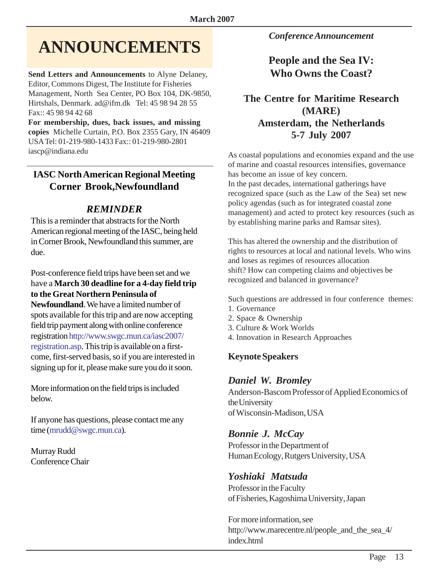# **ANNOUNCEMENTS**

**Send Letters and Announcements** to Alyne Delaney, Editor, Commons Digest, The Institute for Fisheries Management, North Sea Center, PO Box 104, DK-9850, Hirtshals, Denmark. ad@ifm.dk Tel: 45 98 94 28 55 Fax:: 45 98 94 42 68

**For membership, dues, back issues, and missing copies** Michelle Curtain, P.O. Box 2355 Gary, IN 46409 USA Tel: 01-219-980-1433 Fax:: 01-219-980-2801 iascp@indiana.edu

#### **IASC North American Regional Meeting Corner Brook,Newfoundland**

#### *REMINDER*

This is a reminder that abstracts for the North American regional meeting of the IASC, being held in Corner Brook, Newfoundland this summer, are due.

Post-conference field trips have been set and we have a **March 30 deadline for a 4-day field trip to the Great Northern Peninsula of Newfoundland**. We have a limited number of spots available for this trip and are now accepting field trip payment along with online conference registration http://www.swgc.mun.ca/iasc2007/ registration.asp. This trip is available on a firstcome, first-served basis, so if you are interested in signing up for it, please make sure you do it soon.

More information on the field trips is included below.

If anyone has questions, please contact me any time (mrudd@swgc.mun.ca).

Murray Rudd Conference Chair *Conference Announcement*

### **People and the Sea IV: Who Owns the Coast?**

#### **The Centre for Maritime Research (MARE) Amsterdam, the Netherlands 5-7 July 2007**

As coastal populations and economies expand and the use of marine and coastal resources intensifies, governance has become an issue of key concern. In the past decades, international gatherings have recognized space (such as the Law of the Sea) set new policy agendas (such as for integrated coastal zone management) and acted to protect key resources (such as by establishing marine parks and Ramsar sites).

This has altered the ownership and the distribution of rights to resources at local and national levels. Who wins and loses as regimes of resources allocation shift? How can competing claims and objectives be recognized and balanced in governance?

Such questions are addressed in four conference themes:

- 1. Governance
- 2. Space & Ownership
- 3. Culture & Work Worlds
- 4. Innovation in Research Approaches

#### **Keynote Speakers**

#### *Daniel W. Bromley*

Anderson-Bascom Professor of Applied Economics of the University of Wisconsin-Madison, USA

#### *Bonnie J. McCay*

Professor in the Department of Human Ecology, Rutgers University, USA

#### *Yoshiaki Matsuda*

Professor in the Faculty of Fisheries, Kagoshima University, Japan

For more information, see [http://www.marecentre.nl/people\\_and\\_the\\_sea\\_4/](www.iascp.org) [index.html](www.iascp.org)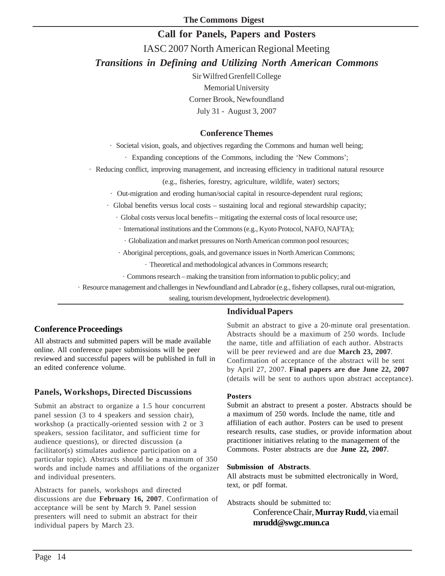#### **Call for Panels, Papers and Posters**

IASC 2007 North American Regional Meeting *Transitions in Defining and Utilizing North American Commons*

> Sir Wilfred Grenfell College Memorial University Corner Brook, Newfoundland July 31 - August 3, 2007

#### **Conference Themes**

· Societal vision, goals, and objectives regarding the Commons and human well being;

· Expanding conceptions of the Commons, including the 'New Commons';

· Reducing conflict, improving management, and increasing efficiency in traditional natural resource

(e.g., fisheries, forestry, agriculture, wildlife, water) sectors;

· Out-migration and eroding human/social capital in resource-dependent rural regions;

· Global benefits versus local costs – sustaining local and regional stewardship capacity;

· Global costs versus local benefits – mitigating the external costs of local resource use;

· International institutions and the Commons (e.g., Kyoto Protocol, NAFO, NAFTA);

· Globalization and market pressures on North American common pool resources;

· Aboriginal perceptions, goals, and governance issues in North American Commons;

· Theoretical and methodological advances in Commons research;

· Commons research – making the transition from information to public policy; and

· Resource management and challenges in Newfoundland and Labrador (e.g., fishery collapses, rural out-migration,

sealing, tourism development, hydroelectric development).

#### **Individual Papers**

#### **Conference Proceedings**

All abstracts and submitted papers will be made available online. All conference paper submissions will be peer reviewed and successful papers will be published in full in an edited conference volume.

#### **Panels, Workshops, Directed Discussions**

Submit an abstract to organize a 1.5 hour concurrent panel session (3 to 4 speakers and session chair), workshop (a practically-oriented session with 2 or 3 speakers, session facilitator, and sufficient time for audience questions), or directed discussion (a facilitator(s) stimulates audience participation on a particular topic). Abstracts should be a maximum of 350 words and include names and affiliations of the organizer and individual presenters.

Abstracts for panels, workshops and directed discussions are due **February 16, 2007**. Confirmation of acceptance will be sent by March 9. Panel session presenters will need to submit an abstract for their individual papers by March 23.

Submit an abstract to give a 20-minute oral presentation. Abstracts should be a maximum of 250 words. Include the name, title and affiliation of each author. Abstracts will be peer reviewed and are due **March 23, 2007**. Confirmation of acceptance of the abstract will be sent by April 27, 2007. **Final papers are due June 22, 2007** (details will be sent to authors upon abstract acceptance).

#### **Posters**

Submit an abstract to present a poster. Abstracts should be a maximum of 250 words. Include the name, title and affiliation of each author. Posters can be used to present research results, case studies, or provide information about practitioner initiatives relating to the management of the Commons. Poster abstracts are due **June 22, 2007**.

#### **Submission of Abstracts**.

All abstracts must be submitted electronically in Word, text, or pdf format.

Abstracts should be submitted to:

Conference Chair, **Murray Rudd**, via email **mrudd@swgc.mun.ca**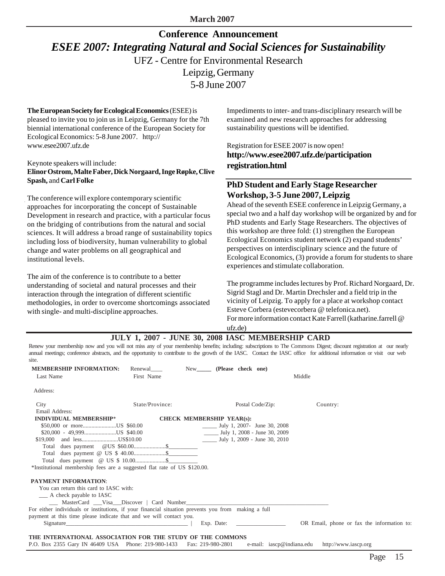**March 2007**

### **Conference Announcement** *ESEE 2007: Integrating Natural and Social Sciences for Sustainability* UFZ - Centre for Environmental Research Leipzig, Germany 5-8 June 2007

#### **The European Society for Ecological Economics** (ESEE) is pleased to invite you to join us in Leipzig, Germany for the 7th biennial international conference of the European Society for Ecological Economics: 5-8 June 2007. http:// www.esee2007.ufz.de

#### Keynote speakers will include: **Elinor Ostrom, Malte Faber, Dick Norgaard, Inge Røpke, Clive Spash,** and **Carl Folke**

The conference will explore contemporary scientific approaches for incorporating the concept of Sustainable Development in research and practice, with a particular focus on the bridging of contributions from the natural and social sciences. It will address a broad range of sustainability topics including loss of biodiversity, human vulnerability to global change and water problems on all geographical and institutional levels.

The aim of the conference is to contribute to a better understanding of societal and natural processes and their interaction through the integration of different scientific methodologies, in order to overcome shortcomings associated with single- and multi-discipline approaches.

Impediments to inter- and trans-disciplinary research will be examined and new research approaches for addressing sustainability questions will be identified.

Registration for ESEE 2007 is now open! **http://www.esee2007.ufz.de/participation registration.html**

#### **PhD Student and Early Stage Researcher Workshop, 3-5 June 2007, Leipzig**

Ahead of the seventh ESEE conference in Leipzig Germany, a special two and a half day workshop will be organized by and for PhD students and Early Stage Researchers. The objectives of this workshop are three fold: (1) strengthen the European Ecological Economics student network (2) expand students' perspectives on interdisciplinary science and the future of Ecological Economics, (3) provide a forum for students to share experiences and stimulate collaboration.

The programme includes lectures by Prof. Richard Norgaard, Dr. Sigrid Stagl and Dr. Martin Drechsler and a field trip in the vicinity of Leipzig. To apply for a place at workshop contact Esteve Corbera (estevecorbera @ telefonica.net). For more information contact Kate Farrell (katharine.farrell @ ufz.de)

**JULY 1, 2007 - JUNE 30, 2008 IASC MEMBERSHIP CARD**

Renew your membership now and you will not miss any of your membership benefits; including: subscriptions to The Commons Digest; discount registration at our nearly annual meetings; conference abstracts, and the opportunity to contribute to the growth of the IASC. Contact the IASC office for additional information or visit our web site.

| <b>MEMBERSHIP INFORMATION:</b>                                                                                                                                                                                                 | Renewal         | New               | (Please check one)                                        |                      |                                            |
|--------------------------------------------------------------------------------------------------------------------------------------------------------------------------------------------------------------------------------|-----------------|-------------------|-----------------------------------------------------------|----------------------|--------------------------------------------|
| Last Name                                                                                                                                                                                                                      | First Name      |                   |                                                           | Middle               |                                            |
| Address:                                                                                                                                                                                                                       |                 |                   |                                                           |                      |                                            |
| City                                                                                                                                                                                                                           | State/Province: |                   | Postal Code/Zip:                                          | Country:             |                                            |
| Email Address:                                                                                                                                                                                                                 |                 |                   |                                                           |                      |                                            |
| <b>INDIVIDUAL MEMBERSHIP*</b>                                                                                                                                                                                                  |                 |                   | CHECK MEMBERSHIP YEAR(s):                                 |                      |                                            |
| \$50,000 or moreUS \$60.00                                                                                                                                                                                                     |                 |                   | $\frac{\text{July 1}}{\text{July 1}}$ 2007- June 30, 2008 |                      |                                            |
| $$20,000 - 49,999$ US \$40.00                                                                                                                                                                                                  |                 |                   | $\frac{1}{2}$ July 1, 2008 - June 30, 2009                |                      |                                            |
| \$19,000 and lessUS\$10.00                                                                                                                                                                                                     |                 |                   | $\frac{1}{2}$ July 1, 2009 - June 30, 2010                |                      |                                            |
|                                                                                                                                                                                                                                |                 |                   |                                                           |                      |                                            |
|                                                                                                                                                                                                                                |                 |                   |                                                           |                      |                                            |
| Total dues payment @ US \$ 10.00 \$                                                                                                                                                                                            |                 |                   |                                                           |                      |                                            |
| *Institutional membership fees are a suggested flat rate of US \$120.00.                                                                                                                                                       |                 |                   |                                                           |                      |                                            |
| <b>PAYMENT INFORMATION:</b>                                                                                                                                                                                                    |                 |                   |                                                           |                      |                                            |
| You can return this card to IASC with:                                                                                                                                                                                         |                 |                   |                                                           |                      |                                            |
| __ A check payable to IASC                                                                                                                                                                                                     |                 |                   |                                                           |                      |                                            |
| ____ MasterCard ___Visa___Discover   Card Number_________________________________                                                                                                                                              |                 |                   |                                                           |                      |                                            |
| For either individuals or institutions, if your financial situation prevents you from making a full                                                                                                                            |                 |                   |                                                           |                      |                                            |
| payment at this time please indicate that and we will contact you.                                                                                                                                                             |                 |                   |                                                           |                      |                                            |
| Signature Signature Signature and the set of the set of the set of the set of the set of the set of the set of the set of the set of the set of the set of the set of the set of the set of the set of the set of the set of t |                 |                   | Exp. Date: $\qquad \qquad$                                |                      | OR Email, phone or fax the information to: |
| THE INTERNATIONAL ASSOCIATION FOR THE STUDY OF THE COMMONS                                                                                                                                                                     |                 |                   |                                                           |                      |                                            |
| P.O. Box 2355 Gary IN 46409 USA Phone: 219-980-1433                                                                                                                                                                            |                 | Fax: 219-980-2801 | e-mail: iascp@indiana.edu                                 | http://www.iascp.org |                                            |